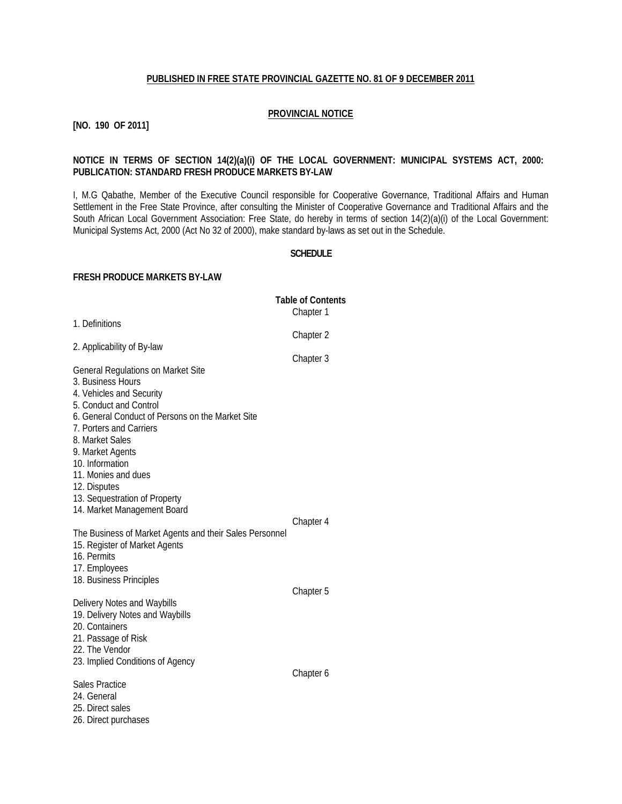#### **PUBLISHED IN FREE STATE PROVINCIAL GAZETTE NO. 81 OF 9 DECEMBER 2011**

#### **PROVINCIAL NOTICE**

**[NO. 190 OF 2011]**

#### **NOTICE IN TERMS OF SECTION 14(2)(a)(i) OF THE LOCAL GOVERNMENT: MUNICIPAL SYSTEMS ACT, 2000: PUBLICATION: STANDARD FRESH PRODUCE MARKETS BY-LAW**

I, M.G Qabathe, Member of the Executive Council responsible for Cooperative Governance, Traditional Affairs and Human Settlement in the Free State Province, after consulting the Minister of Cooperative Governance and Traditional Affairs and the South African Local Government Association: Free State, do hereby in terms of section 14(2)(a)(i) of the Local Government: Municipal Systems Act, 2000 (Act No 32 of 2000), make standard by-laws as set out in the Schedule.

#### **SCHEDULE**

#### **FRESH PRODUCE MARKETS BY-LAW**

|                                                                                                                                                                                                                                                                               | <b>Table of Contents</b><br>Chapter 1 |
|-------------------------------------------------------------------------------------------------------------------------------------------------------------------------------------------------------------------------------------------------------------------------------|---------------------------------------|
| 1. Definitions                                                                                                                                                                                                                                                                |                                       |
| 2. Applicability of By-law                                                                                                                                                                                                                                                    | Chapter 2                             |
| General Regulations on Market Site<br>3. Business Hours<br>4. Vehicles and Security<br>5. Conduct and Control<br>6. General Conduct of Persons on the Market Site<br>7. Porters and Carriers<br>8. Market Sales<br>9. Market Agents<br>10. Information<br>11. Monies and dues | Chapter 3                             |
| 12. Disputes<br>13. Sequestration of Property<br>14. Market Management Board<br>The Business of Market Agents and their Sales Personnel<br>15. Register of Market Agents<br>16. Permits<br>17. Employees                                                                      | Chapter 4                             |
| 18. Business Principles<br>Delivery Notes and Waybills<br>19. Delivery Notes and Waybills<br>20. Containers<br>21. Passage of Risk<br>22. The Vendor<br>23. Implied Conditions of Agency                                                                                      | Chapter 5                             |
| <b>Sales Practice</b><br>24. General<br>25. Direct sales<br>26. Direct purchases                                                                                                                                                                                              | Chapter 6                             |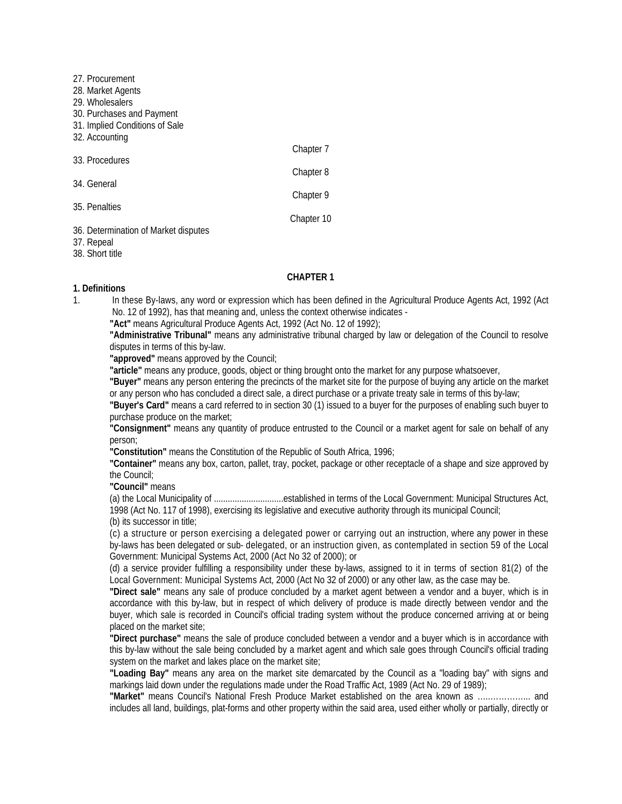| 27. Procurement                      |            |
|--------------------------------------|------------|
| 28. Market Agents                    |            |
| 29. Wholesalers                      |            |
| 30. Purchases and Payment            |            |
| 31. Implied Conditions of Sale       |            |
| 32. Accounting                       |            |
|                                      | Chapter 7  |
| 33. Procedures                       |            |
|                                      | Chapter 8  |
| 34. General                          |            |
|                                      | Chapter 9  |
| 35. Penalties                        |            |
|                                      | Chapter 10 |
| 36. Determination of Market disputes |            |
| 37. Repeal                           |            |

#### 38. Short title

#### **CHAPTER 1**

#### **1. Definitions**

- 1. In these By-laws, any word or expression which has been defined in the Agricultural Produce Agents Act, 1992 (Act No. 12 of 1992), has that meaning and, unless the context otherwise indicates -
	- **"Act"** means Agricultural Produce Agents Act, 1992 (Act No. 12 of 1992);

**"Administrative Tribunal"** means any administrative tribunal charged by law or delegation of the Council to resolve disputes in terms of this by-law.

**"approved"** means approved by the Council;

**"article"** means any produce, goods, object or thing brought onto the market for any purpose whatsoever,

**"Buyer"** means any person entering the precincts of the market site for the purpose of buying any article on the market or any person who has concluded a direct sale, a direct purchase or a private treaty sale in terms of this by-law;

**"Buyer's Card"** means a card referred to in section 30 (1) issued to a buyer for the purposes of enabling such buyer to purchase produce on the market;

**"Consignment"** means any quantity of produce entrusted to the Council or a market agent for sale on behalf of any person;

**"Constitution"** means the Constitution of the Republic of South Africa, 1996;

**"Container"** means any box, carton, pallet, tray, pocket, package or other receptacle of a shape and size approved by the Council;

**"Council"** means

(a) the Local Municipality of ..............................established in terms of the Local Government: Municipal Structures Act, 1998 (Act No. 117 of 1998), exercising its legislative and executive authority through its municipal Council;

(b) its successor in title;

(c) a structure or person exercising a delegated power or carrying out an instruction, where any power in these by-laws has been delegated or sub- delegated, or an instruction given, as contemplated in section 59 of the Local Government: Municipal Systems Act, 2000 (Act No 32 of 2000); or

(d) a service provider fulfilling a responsibility under these by-laws, assigned to it in terms of section 81(2) of the Local Government: Municipal Systems Act, 2000 (Act No 32 of 2000) or any other law, as the case may be.

**"Direct sale"** means any sale of produce concluded by a market agent between a vendor and a buyer, which is in accordance with this by-law, but in respect of which delivery of produce is made directly between vendor and the buyer, which sale is recorded in Council's official trading system without the produce concerned arriving at or being placed on the market site;

**"Direct purchase"** means the sale of produce concluded between a vendor and a buyer which is in accordance with this by-law without the sale being concluded by a market agent and which sale goes through Council's official trading system on the market and lakes place on the market site;

**"Loading Bay"** means any area on the market site demarcated by the Council as a "loading bay" with signs and markings laid down under the regulations made under the Road Traffic Act, 1989 (Act No. 29 of 1989);

**"Market"** means Council's National Fresh Produce Market established on the area known as …..…………... and includes all land, buildings, plat-forms and other property within the said area, used either wholly or partially, directly or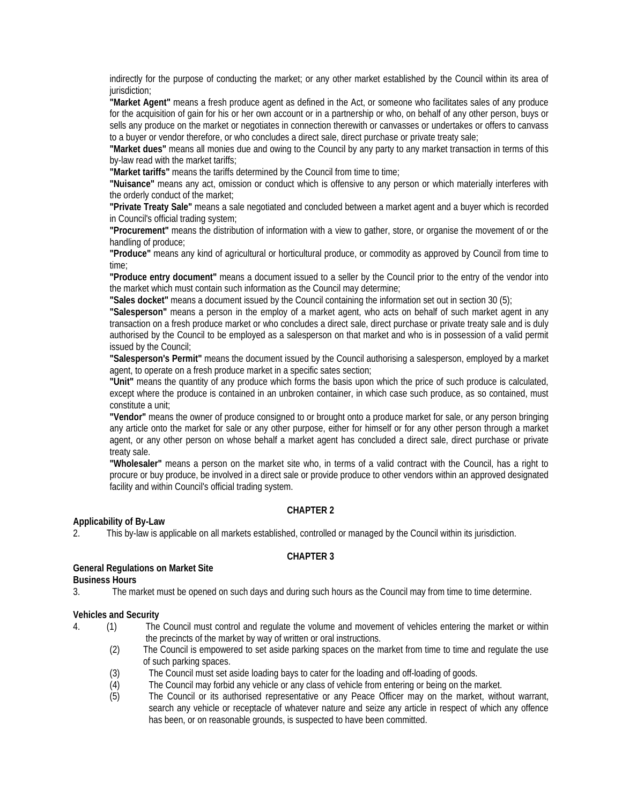indirectly for the purpose of conducting the market; or any other market established by the Council within its area of jurisdiction;

**"Market Agent"** means a fresh produce agent as defined in the Act, or someone who facilitates sales of any produce for the acquisition of gain for his or her own account or in a partnership or who, on behalf of any other person, buys or sells any produce on the market or negotiates in connection therewith or canvasses or undertakes or offers to canvass to a buyer or vendor therefore, or who concludes a direct sale, direct purchase or private treaty sale;

**"Market dues"** means all monies due and owing to the Council by any party to any market transaction in terms of this by-law read with the market tariffs;

**"Market tariffs"** means the tariffs determined by the Council from time to time;

**"Nuisance"** means any act, omission or conduct which is offensive to any person or which materially interferes with the orderly conduct of the market;

**"Private Treaty Sale"** means a sale negotiated and concluded between a market agent and a buyer which is recorded in Council's official trading system;

**"Procurement"** means the distribution of information with a view to gather, store, or organise the movement of or the handling of produce;

**"Produce"** means any kind of agricultural or horticultural produce, or commodity as approved by Council from time to time;

**"Produce entry document"** means a document issued to a seller by the Council prior to the entry of the vendor into the market which must contain such information as the Council may determine;

**"Sales docket"** means a document issued by the Council containing the information set out in section 30 (5);

**"Salesperson"** means a person in the employ of a market agent, who acts on behalf of such market agent in any transaction on a fresh produce market or who concludes a direct sale, direct purchase or private treaty sale and is duly authorised by the Council to be employed as a salesperson on that market and who is in possession of a valid permit issued by the Council;

**"Salesperson's Permit"** means the document issued by the Council authorising a salesperson, employed by a market agent, to operate on a fresh produce market in a specific sates section;

**"Unit"** means the quantity of any produce which forms the basis upon which the price of such produce is calculated, except where the produce is contained in an unbroken container, in which case such produce, as so contained, must constitute a unit;

**"Vendor"** means the owner of produce consigned to or brought onto a produce market for sale, or any person bringing any article onto the market for sale or any other purpose, either for himself or for any other person through a market agent, or any other person on whose behalf a market agent has concluded a direct sale, direct purchase or private treaty sale.

**"Wholesaler"** means a person on the market site who, in terms of a valid contract with the Council, has a right to procure or buy produce, be involved in a direct sale or provide produce to other vendors within an approved designated facility and within Council's official trading system.

#### **CHAPTER 2**

#### **Applicability of By-Law**

2. This by-law is applicable on all markets established, controlled or managed by the Council within its jurisdiction.

#### **CHAPTER 3**

### **General Regulations on Market Site**

**Business Hours**

3. The market must be opened on such days and during such hours as the Council may from time to time determine.

# **Vehicles and Security**<br>4. (1) The

- 4. (1) The Council must control and regulate the volume and movement of vehicles entering the market or within the precincts of the market by way of written or oral instructions.
	- (2) The Council is empowered to set aside parking spaces on the market from time to time and regulate the use of such parking spaces.
	- (3) The Council must set aside loading bays to cater for the loading and off-loading of goods.
	- (4) The Council may forbid any vehicle or any class of vehicle from entering or being on the market.
	- (5) The Council or its authorised representative or any Peace Officer may on the market, without warrant, search any vehicle or receptacle of whatever nature and seize any article in respect of which any offence has been, or on reasonable grounds, is suspected to have been committed.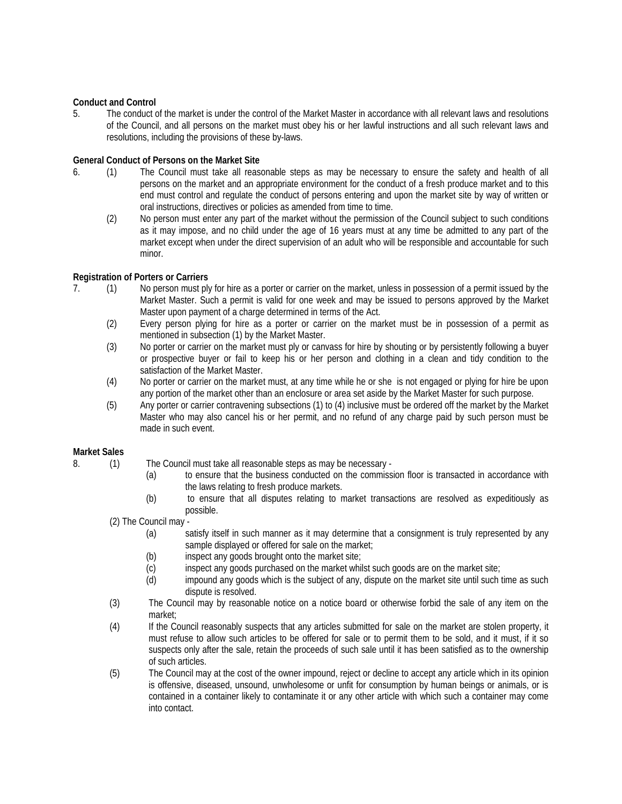#### **Conduct and Control**

5. The conduct of the market is under the control of the Market Master in accordance with all relevant laws and resolutions of the Council, and all persons on the market must obey his or her lawful instructions and all such relevant laws and resolutions, including the provisions of these by-laws.

#### **General Conduct of Persons on the Market Site**

- 6. (1) The Council must take all reasonable steps as may be necessary to ensure the safety and health of all persons on the market and an appropriate environment for the conduct of a fresh produce market and to this end must control and regulate the conduct of persons entering and upon the market site by way of written or oral instructions, directives or policies as amended from time to time.
	- (2) No person must enter any part of the market without the permission of the Council subject to such conditions as it may impose, and no child under the age of 16 years must at any time be admitted to any part of the market except when under the direct supervision of an adult who will be responsible and accountable for such minor.

#### **Registration of Porters or Carriers**

- 7. (1) No person must ply for hire as a porter or carrier on the market, unless in possession of a permit issued by the Market Master. Such a permit is valid for one week and may be issued to persons approved by the Market Master upon payment of a charge determined in terms of the Act.
	- (2) Every person plying for hire as a porter or carrier on the market must be in possession of a permit as mentioned in subsection (1) by the Market Master.
	- (3) No porter or carrier on the market must ply or canvass for hire by shouting or by persistently following a buyer or prospective buyer or fail to keep his or her person and clothing in a clean and tidy condition to the satisfaction of the Market Master.
	- (4) No porter or carrier on the market must, at any time while he or she is not engaged or plying for hire be upon any portion of the market other than an enclosure or area set aside by the Market Master for such purpose.
	- (5) Any porter or carrier contravening subsections (1) to (4) inclusive must be ordered off the market by the Market Master who may also cancel his or her permit, and no refund of any charge paid by such person must be made in such event.

#### **Market Sales**

- 8. (1) The Council must take all reasonable steps as may be necessary
	- (a) to ensure that the business conducted on the commission floor is transacted in accordance with the laws relating to fresh produce markets.
	- (b) to ensure that all disputes relating to market transactions are resolved as expeditiously as possible.
	- (2) The Council may
		- (a) satisfy itself in such manner as it may determine that a consignment is truly represented by any sample displayed or offered for sale on the market;
		- (b) inspect any goods brought onto the market site;
		- (c) inspect any goods purchased on the market whilst such goods are on the market site;
		- (d) impound any goods which is the subject of any, dispute on the market site until such time as such dispute is resolved.
	- (3) The Council may by reasonable notice on a notice board or otherwise forbid the sale of any item on the market;
	- (4) If the Council reasonably suspects that any articles submitted for sale on the market are stolen property, it must refuse to allow such articles to be offered for sale or to permit them to be sold, and it must, if it so suspects only after the sale, retain the proceeds of such sale until it has been satisfied as to the ownership of such articles.
	- (5) The Council may at the cost of the owner impound, reject or decline to accept any article which in its opinion is offensive, diseased, unsound, unwholesome or unfit for consumption by human beings or animals, or is contained in a container likely to contaminate it or any other article with which such a container may come into contact.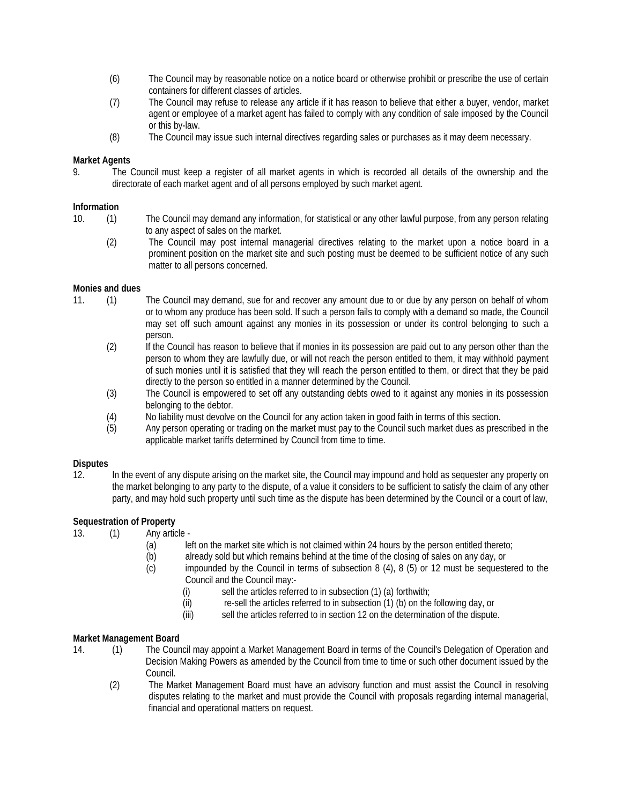- (6) The Council may by reasonable notice on a notice board or otherwise prohibit or prescribe the use of certain containers for different classes of articles.
- (7) The Council may refuse to release any article if it has reason to believe that either a buyer, vendor, market agent or employee of a market agent has failed to comply with any condition of sale imposed by the Council or this by-law.
- (8) The Council may issue such internal directives regarding sales or purchases as it may deem necessary.

#### **Market Agents**

9. The Council must keep a register of all market agents in which is recorded all details of the ownership and the directorate of each market agent and of all persons employed by such market agent.

#### **Information**

- 10. (1) The Council may demand any information, for statistical or any other lawful purpose, from any person relating to any aspect of sales on the market.
	- (2) The Council may post internal managerial directives relating to the market upon a notice board in a prominent position on the market site and such posting must be deemed to be sufficient notice of any such matter to all persons concerned.

#### **Monies and dues**

- 11. (1) The Council may demand, sue for and recover any amount due to or due by any person on behalf of whom or to whom any produce has been sold. If such a person fails to comply with a demand so made, the Council may set off such amount against any monies in its possession or under its control belonging to such a person.
	- (2) If the Council has reason to believe that if monies in its possession are paid out to any person other than the person to whom they are lawfully due, or will not reach the person entitled to them, it may withhold payment of such monies until it is satisfied that they will reach the person entitled to them, or direct that they be paid directly to the person so entitled in a manner determined by the Council.
	- (3) The Council is empowered to set off any outstanding debts owed to it against any monies in its possession belonging to the debtor.
	- (4) No liability must devolve on the Council for any action taken in good faith in terms of this section.
	- (5) Any person operating or trading on the market must pay to the Council such market dues as prescribed in the applicable market tariffs determined by Council from time to time.

## **Disputes**

In the event of any dispute arising on the market site, the Council may impound and hold as sequester any property on the market belonging to any party to the dispute, of a value it considers to be sufficient to satisfy the claim of any other party, and may hold such property until such time as the dispute has been determined by the Council or a court of law,

### **Sequestration of Property**

- 13. (1) Any article
	- (a) left on the market site which is not claimed within 24 hours by the person entitled thereto;
	- (b) already sold but which remains behind at the time of the closing of sales on any day, or
	- (c) impounded by the Council in terms of subsection 8 (4), 8 (5) or 12 must be sequestered to the Council and the Council may:-
		- (i) sell the articles referred to in subsection  $(1)$   $(a)$  forthwith;
		- (ii) re-sell the articles referred to in subsection (1) (b) on the following day, or
		- (iii) sell the articles referred to in section 12 on the determination of the dispute.

#### **Market Management Board**

- 14. (1) The Council may appoint a Market Management Board in terms of the Council's Delegation of Operation and Decision Making Powers as amended by the Council from time to time or such other document issued by the Council.
	- (2) The Market Management Board must have an advisory function and must assist the Council in resolving disputes relating to the market and must provide the Council with proposals regarding internal managerial, financial and operational matters on request.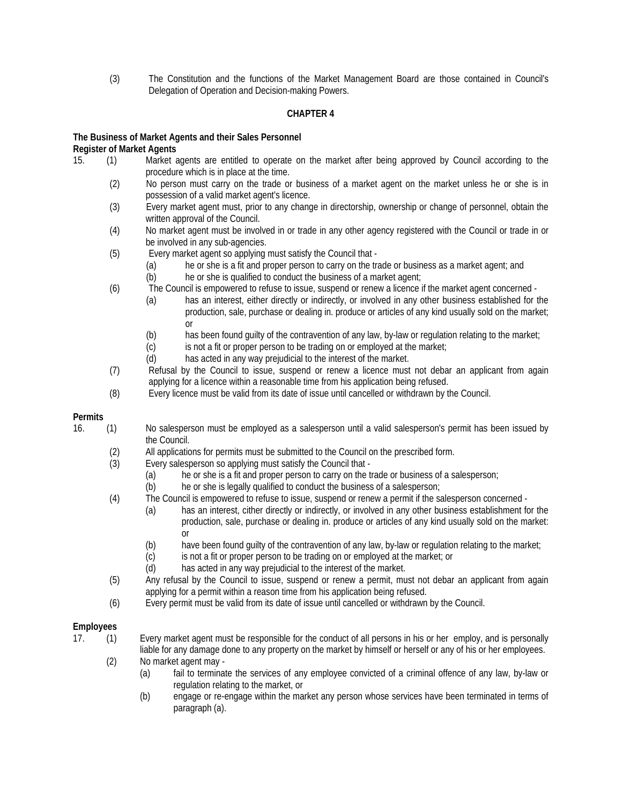(3) The Constitution and the functions of the Market Management Board are those contained in Council's Delegation of Operation and Decision-making Powers.

#### **CHAPTER 4**

#### **The Business of Market Agents and their Sales Personnel Register of Market Agents**

- 15. (1) Market agents are entitled to operate on the market after being approved by Council according to the procedure which is in place at the time.
	- (2) No person must carry on the trade or business of a market agent on the market unless he or she is in possession of a valid market agent's licence.
	- (3) Every market agent must, prior to any change in directorship, ownership or change of personnel, obtain the written approval of the Council.
	- (4) No market agent must be involved in or trade in any other agency registered with the Council or trade in or be involved in any sub-agencies.
	- (5) Every market agent so applying must satisfy the Council that
		- (a) he or she is a fit and proper person to carry on the trade or business as a market agent; and
			- (b) he or she is qualified to conduct the business of a market agent;
	- (6) The Council is empowered to refuse to issue, suspend or renew a licence if the market agent concerned
		- (a) has an interest, either directly or indirectly, or involved in any other business established for the production, sale, purchase or dealing in. produce or articles of any kind usually sold on the market; or
		- (b) has been found guilty of the contravention of any law, by-law or regulation relating to the market;
		- (c) is not a fit or proper person to be trading on or employed at the market;<br>(d) has acted in any way prejudicial to the interest of the market.
		- has acted in any way prejudicial to the interest of the market.
	- (7) Refusal by the Council to issue, suspend or renew a licence must not debar an applicant from again applying for a licence within a reasonable time from his application being refused.
	- (8) Every licence must be valid from its date of issue until cancelled or withdrawn by the Council.

#### **Permits**

- 16. (1) No salesperson must be employed as a salesperson until a valid salesperson's permit has been issued by the Council.
	- (2) All applications for permits must be submitted to the Council on the prescribed form.
	- (3) Every salesperson so applying must satisfy the Council that
		- (a) he or she is a fit and proper person to carry on the trade or business of a salesperson;
		- (b) he or she is legally qualified to conduct the business of a salesperson;
	- (4) The Council is empowered to refuse to issue, suspend or renew a permit if the salesperson concerned
		- (a) has an interest, cither directly or indirectly, or involved in any other business establishment for the production, sale, purchase or dealing in. produce or articles of any kind usually sold on the market: or
			- (b) have been found guilty of the contravention of any law, by-law or regulation relating to the market;
		- (c) is not a fit or proper person to be trading on or employed at the market; or
		- (d) has acted in any way prejudicial to the interest of the market.
	- (5) Any refusal by the Council to issue, suspend or renew a permit, must not debar an applicant from again applying for a permit within a reason time from his application being refused.
	- (6) Every permit must be valid from its date of issue until cancelled or withdrawn by the Council.

### **Employees**

- 17. (1) Every market agent must be responsible for the conduct of all persons in his or her employ, and is personally liable for any damage done to any property on the market by himself or herself or any of his or her employees.
	- (2) No market agent may
		- (a) fail to terminate the services of any employee convicted of a criminal offence of any law, by-law or regulation relating to the market, or
		- (b) engage or re-engage within the market any person whose services have been terminated in terms of paragraph (a).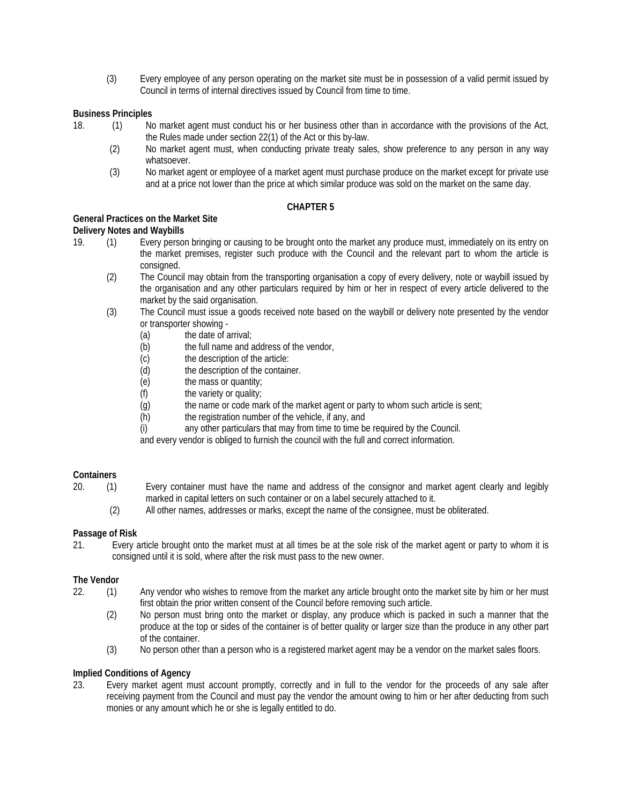(3) Every employee of any person operating on the market site must be in possession of a valid permit issued by Council in terms of internal directives issued by Council from time to time.

#### **Business Principles**

- 18. (1) No market agent must conduct his or her business other than in accordance with the provisions of the Act, the Rules made under section 22(1) of the Act or this by-law.
	- (2) No market agent must, when conducting private treaty sales, show preference to any person in any way whatsoever.
	- (3) No market agent or employee of a market agent must purchase produce on the market except for private use and at a price not lower than the price at which similar produce was sold on the market on the same day.

### **CHAPTER 5**

### **General Practices on the Market Site**

#### **Delivery Notes and Waybills**

- 19. (1) Every person bringing or causing to be brought onto the market any produce must, immediately on its entry on the market premises, register such produce with the Council and the relevant part to whom the article is consigned.
	- (2) The Council may obtain from the transporting organisation a copy of every delivery, note or waybill issued by the organisation and any other particulars required by him or her in respect of every article delivered to the market by the said organisation.
	- (3) The Council must issue a goods received note based on the waybill or delivery note presented by the vendor or transporter showing -
		- (a) the date of arrival;<br>(b) the full name and
		- (b) the full name and address of the vendor,<br>  $(c)$  the description of the article:
		- the description of the article:
		- (d) the description of the container.
		- (e) the mass or quantity;
		- (f) the variety or quality;
		- (g) the name or code mark of the market agent or party to whom such article is sent;
		- (h) the registration number of the vehicle, if any, and
		- (i) any other particulars that may from time to time be required by the Council.

and every vendor is obliged to furnish the council with the full and correct information.

#### **Containers**

- 20. (1) Every container must have the name and address of the consignor and market agent clearly and legibly marked in capital letters on such container or on a label securely attached to it.
	- (2) All other names, addresses or marks, except the name of the consignee, must be obliterated.

#### **Passage of Risk**

21. Every article brought onto the market must at all times be at the sole risk of the market agent or party to whom it is consigned until it is sold, where after the risk must pass to the new owner.

#### **The Vendor**

- 22. (1) Any vendor who wishes to remove from the market any article brought onto the market site by him or her must first obtain the prior written consent of the Council before removing such article.
	- (2) No person must bring onto the market or display, any produce which is packed in such a manner that the produce at the top or sides of the container is of better quality or larger size than the produce in any other part of the container.
	- (3) No person other than a person who is a registered market agent may be a vendor on the market sales floors.

#### **Implied Conditions of Agency**

23. Every market agent must account promptly, correctly and in full to the vendor for the proceeds of any sale after receiving payment from the Council and must pay the vendor the amount owing to him or her after deducting from such monies or any amount which he or she is legally entitled to do.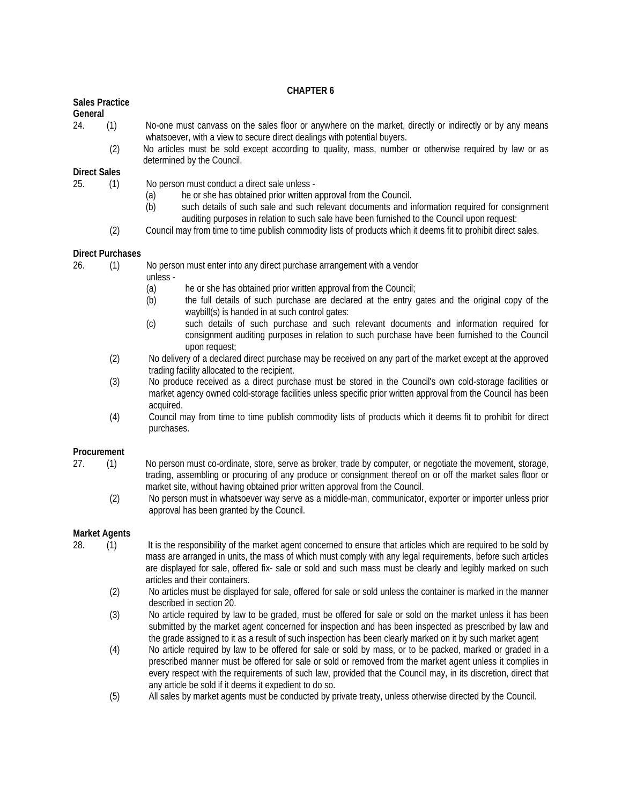#### **CHAPTER 6**

#### **Sales Practice**

**General**

| 24. | No-one must canvass on the sales floor or anywhere on the market, directly or indirectly or by any means |
|-----|----------------------------------------------------------------------------------------------------------|
|     | whatsoever, with a view to secure direct dealings with potential buyers.                                 |

(2) No articles must be sold except according to quality, mass, number or otherwise required by law or as determined by the Council.

#### **Direct Sales**

25. (1) No person must conduct a direct sale unless -

- (a) he or she has obtained prior written approval from the Council.
- (b) such details of such sale and such relevant documents and information required for consignment auditing purposes in relation to such sale have been furnished to the Council upon request:
- (2) Council may from time to time publish commodity lists of products which it deems fit to prohibit direct sales.

#### **Direct Purchases**

- 26. (1) No person must enter into any direct purchase arrangement with a vendor
	- unless
		- (a) he or she has obtained prior written approval from the Council;
		- (b) the full details of such purchase are declared at the entry gates and the original copy of the waybill(s) is handed in at such control gates:
		- (c) such details of such purchase and such relevant documents and information required for consignment auditing purposes in relation to such purchase have been furnished to the Council upon request;
	- (2) No delivery of a declared direct purchase may be received on any part of the market except at the approved trading facility allocated to the recipient.
	- (3) No produce received as a direct purchase must be stored in the Council's own cold-storage facilities or market agency owned cold-storage facilities unless specific prior written approval from the Council has been acquired.
	- (4) Council may from time to time publish commodity lists of products which it deems fit to prohibit for direct purchases.

#### **Procurement**

- 27. (1) No person must co-ordinate, store, serve as broker, trade by computer, or negotiate the movement, storage, trading, assembling or procuring of any produce or consignment thereof on or off the market sales floor or market site, without having obtained prior written approval from the Council.
	- (2) No person must in whatsoever way serve as a middle-man, communicator, exporter or importer unless prior approval has been granted by the Council.

#### **Market Agents**

- 28. (1) It is the responsibility of the market agent concerned to ensure that articles which are required to be sold by mass are arranged in units, the mass of which must comply with any legal requirements, before such articles are displayed for sale, offered fix- sale or sold and such mass must be clearly and legibly marked on such articles and their containers.
	- (2) No articles must be displayed for sale, offered for sale or sold unless the container is marked in the manner described in section 20.
	- (3) No article required by law to be graded, must be offered for sale or sold on the market unless it has been submitted by the market agent concerned for inspection and has been inspected as prescribed by law and the grade assigned to it as a result of such inspection has been clearly marked on it by such market agent
	- (4) No article required by law to be offered for sale or sold by mass, or to be packed, marked or graded in a prescribed manner must be offered for sale or sold or removed from the market agent unless it complies in every respect with the requirements of such law, provided that the Council may, in its discretion, direct that any article be sold if it deems it expedient to do so.
	- (5) All sales by market agents must be conducted by private treaty, unless otherwise directed by the Council.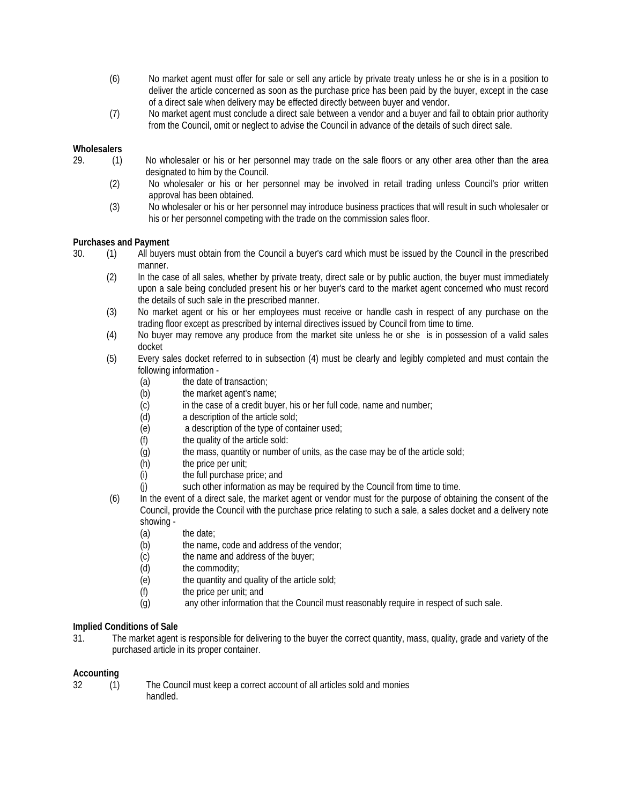- (6) No market agent must offer for sale or sell any article by private treaty unless he or she is in a position to deliver the article concerned as soon as the purchase price has been paid by the buyer, except in the case of a direct sale when delivery may be effected directly between buyer and vendor.
- (7) No market agent must conclude a direct sale between a vendor and a buyer and fail to obtain prior authority from the Council, omit or neglect to advise the Council in advance of the details of such direct sale.

#### **Wholesalers**

- 29. (1) No wholesaler or his or her personnel may trade on the sale floors or any other area other than the area designated to him by the Council.
	- (2) No wholesaler or his or her personnel may be involved in retail trading unless Council's prior written approval has been obtained.
	- (3) No wholesaler or his or her personnel may introduce business practices that will result in such wholesaler or his or her personnel competing with the trade on the commission sales floor.

#### **Purchases and Payment**

- 30. (1) All buyers must obtain from the Council a buyer's card which must be issued by the Council in the prescribed manner.
	- (2) In the case of all sales, whether by private treaty, direct sale or by public auction, the buyer must immediately upon a sale being concluded present his or her buyer's card to the market agent concerned who must record the details of such sale in the prescribed manner.
	- (3) No market agent or his or her employees must receive or handle cash in respect of any purchase on the trading floor except as prescribed by internal directives issued by Council from time to time.
	- (4) No buyer may remove any produce from the market site unless he or she is in possession of a valid sales docket
	- (5) Every sales docket referred to in subsection (4) must be clearly and legibly completed and must contain the following information -
		- (a) the date of transaction;
		- (b) the market agent's name;
		- (c) in the case of a credit buyer, his or her full code, name and number;
		- (d) a description of the article sold;
		- (e) a description of the type of container used;
		- (f) the quality of the article sold:
		- (g) the mass, quantity or number of units, as the case may be of the article sold;
		- (h) the price per unit;<br>(i) the full purchase p
		- the full purchase price; and
		- (j) such other information as may be required by the Council from time to time.
	- (6) In the event of a direct sale, the market agent or vendor must for the purpose of obtaining the consent of the Council, provide the Council with the purchase price relating to such a sale, a sales docket and a delivery note showing -
		- (a) the date;
		- (b) the name, code and address of the vendor;
		- (c) the name and address of the buyer;
		- (d) the commodity;
		- (e) the quantity and quality of the article sold;
		- (f) the price per unit; and
		- (g) any other information that the Council must reasonably require in respect of such sale.

### **Implied Conditions of Sale**

31. The market agent is responsible for delivering to the buyer the correct quantity, mass, quality, grade and variety of the purchased article in its proper container.

#### **Accounting**

- 
- 32 (1) The Council must keep a correct account of all articles sold and monies handled.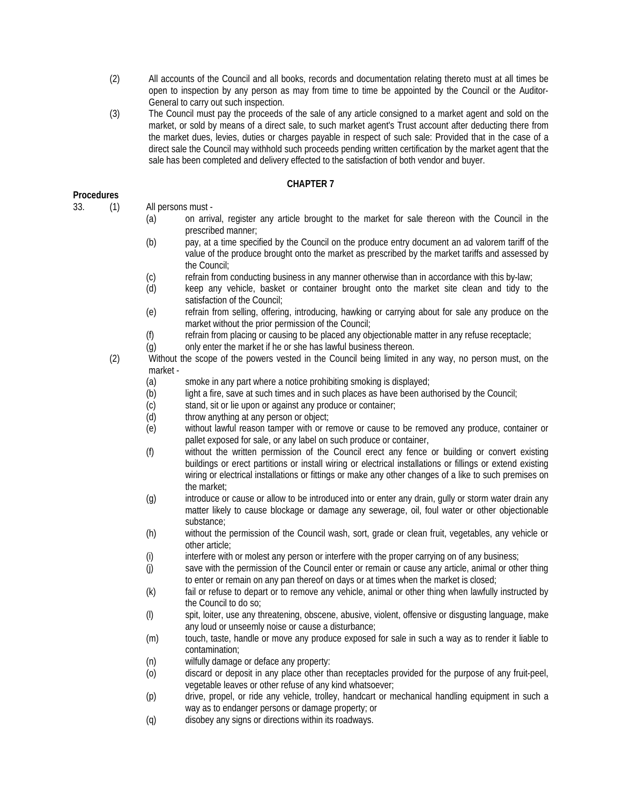- (2) All accounts of the Council and all books, records and documentation relating thereto must at all times be open to inspection by any person as may from time to time be appointed by the Council or the Auditor-General to carry out such inspection.
- (3) The Council must pay the proceeds of the sale of any article consigned to a market agent and sold on the market, or sold by means of a direct sale, to such market agent's Trust account after deducting there from the market dues, levies, duties or charges payable in respect of such sale: Provided that in the case of a direct sale the Council may withhold such proceeds pending written certification by the market agent that the sale has been completed and delivery effected to the satisfaction of both vendor and buyer.

### **CHAPTER 7**

#### **Procedures**

- 33. (1) All persons must
	- (a) on arrival, register any article brought to the market for sale thereon with the Council in the prescribed manner;
	- (b) pay, at a time specified by the Council on the produce entry document an ad valorem tariff of the value of the produce brought onto the market as prescribed by the market tariffs and assessed by the Council;
	- (c) refrain from conducting business in any manner otherwise than in accordance with this by-law;
	- (d) keep any vehicle, basket or container brought onto the market site clean and tidy to the satisfaction of the Council;
	- (e) refrain from selling, offering, introducing, hawking or carrying about for sale any produce on the market without the prior permission of the Council;
	- (f) refrain from placing or causing to be placed any objectionable matter in any refuse receptacle;
	- (g) only enter the market if he or she has lawful business thereon.
	- (2) Without the scope of the powers vested in the Council being limited in any way, no person must, on the market -
		- (a) smoke in any part where a notice prohibiting smoking is displayed;
		- (b) light a fire, save at such times and in such places as have been authorised by the Council;
		- (c) stand, sit or lie upon or against any produce or container;
		- (d) throw anything at any person or object;
		- (e) without lawful reason tamper with or remove or cause to be removed any produce, container or pallet exposed for sale, or any label on such produce or container,
		- (f) without the written permission of the Council erect any fence or building or convert existing buildings or erect partitions or install wiring or electrical installations or fillings or extend existing wiring or electrical installations or fittings or make any other changes of a like to such premises on the market;
		- (g) introduce or cause or allow to be introduced into or enter any drain, gully or storm water drain any matter likely to cause blockage or damage any sewerage, oil, foul water or other objectionable substance;
		- (h) without the permission of the Council wash, sort, grade or clean fruit, vegetables, any vehicle or other article;
		- (i) interfere with or molest any person or interfere with the proper carrying on of any business;
		- (j) save with the permission of the Council enter or remain or cause any article, animal or other thing to enter or remain on any pan thereof on days or at times when the market is closed;
		- (k) fail or refuse to depart or to remove any vehicle, animal or other thing when lawfully instructed by the Council to do so;
		- (l) spit, loiter, use any threatening, obscene, abusive, violent, offensive or disgusting language, make any loud or unseemly noise or cause a disturbance;
		- (m) touch, taste, handle or move any produce exposed for sale in such a way as to render it liable to contamination;
		- (n) wilfully damage or deface any property:
		- (o) discard or deposit in any place other than receptacles provided for the purpose of any fruit-peel, vegetable leaves or other refuse of any kind whatsoever;
		- (p) drive, propel, or ride any vehicle, trolley, handcart or mechanical handling equipment in such a way as to endanger persons or damage property; or
		- (q) disobey any signs or directions within its roadways.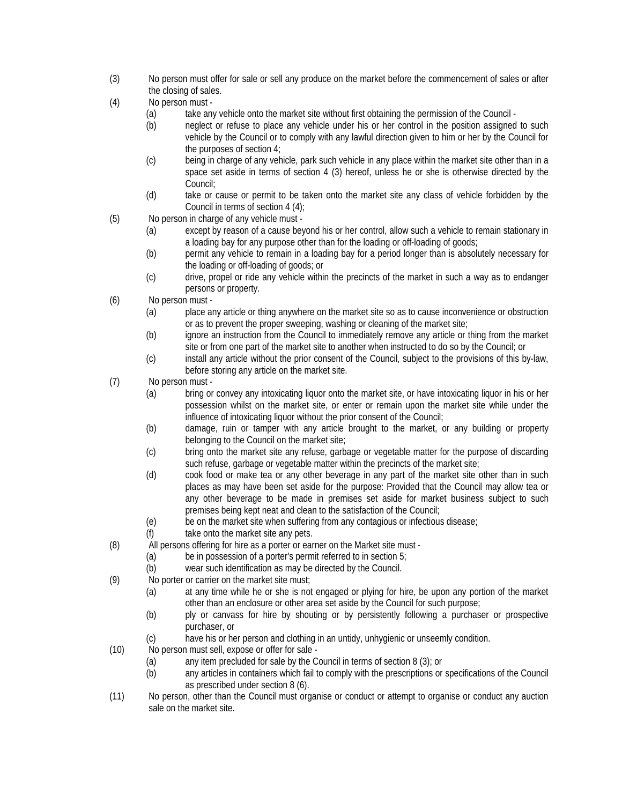- (3) No person must offer for sale or sell any produce on the market before the commencement of sales or after the closing of sales.
- (4) No person must
	- (a) take any vehicle onto the market site without first obtaining the permission of the Council -
	- (b) neglect or refuse to place any vehicle under his or her control in the position assigned to such vehicle by the Council or to comply with any lawful direction given to him or her by the Council for the purposes of section 4;
	- (c) being in charge of any vehicle, park such vehicle in any place within the market site other than in a space set aside in terms of section 4 (3) hereof, unless he or she is otherwise directed by the Council;
	- (d) take or cause or permit to be taken onto the market site any class of vehicle forbidden by the Council in terms of section 4 (4);
- (5) No person in charge of any vehicle must
	- (a) except by reason of a cause beyond his or her control, allow such a vehicle to remain stationary in a loading bay for any purpose other than for the loading or off-loading of goods;
	- (b) permit any vehicle to remain in a loading bay for a period longer than is absolutely necessary for the loading or off-loading of goods; or
	- (c) drive, propel or ride any vehicle within the precincts of the market in such a way as to endanger persons or property.
- (6) No person must
	- (a) place any article or thing anywhere on the market site so as to cause inconvenience or obstruction or as to prevent the proper sweeping, washing or cleaning of the market site;
	- (b) ignore an instruction from the Council to immediately remove any article or thing from the market site or from one part of the market site to another when instructed to do so by the Council; or
	- (c) install any article without the prior consent of the Council, subject to the provisions of this by-law, before storing any article on the market site.
- (7) No person must
	- (a) bring or convey any intoxicating liquor onto the market site, or have intoxicating liquor in his or her possession whilst on the market site, or enter or remain upon the market site while under the influence of intoxicating liquor without the prior consent of the Council;
	- (b) damage, ruin or tamper with any article brought to the market, or any building or property belonging to the Council on the market site;
	- (c) bring onto the market site any refuse, garbage or vegetable matter for the purpose of discarding such refuse, garbage or vegetable matter within the precincts of the market site;
	- (d) cook food or make tea or any other beverage in any part of the market site other than in such places as may have been set aside for the purpose: Provided that the Council may allow tea or any other beverage to be made in premises set aside for market business subject to such premises being kept neat and clean to the satisfaction of the Council;
	- (e) be on the market site when suffering from any contagious or infectious disease;
	- (f) take onto the market site any pets.
- (8) All persons offering for hire as a porter or earner on the Market site must
	- (a) be in possession of a porter's permit referred to in section 5;
	- (b) wear such identification as may be directed by the Council.
- (9) No porter or carrier on the market site must;
	- (a) at any time while he or she is not engaged or plying for hire, be upon any portion of the market other than an enclosure or other area set aside by the Council for such purpose;
	- (b) ply or canvass for hire by shouting or by persistently following a purchaser or prospective purchaser, or
	- (c) have his or her person and clothing in an untidy, unhygienic or unseemly condition.
- (10) No person must sell, expose or offer for sale
	- (a) any item precluded for sale by the Council in terms of section 8 (3); or
	- (b) any articles in containers which fail to comply with the prescriptions or specifications of the Council as prescribed under section 8 (6).
- (11) No person, other than the Council must organise or conduct or attempt to organise or conduct any auction sale on the market site.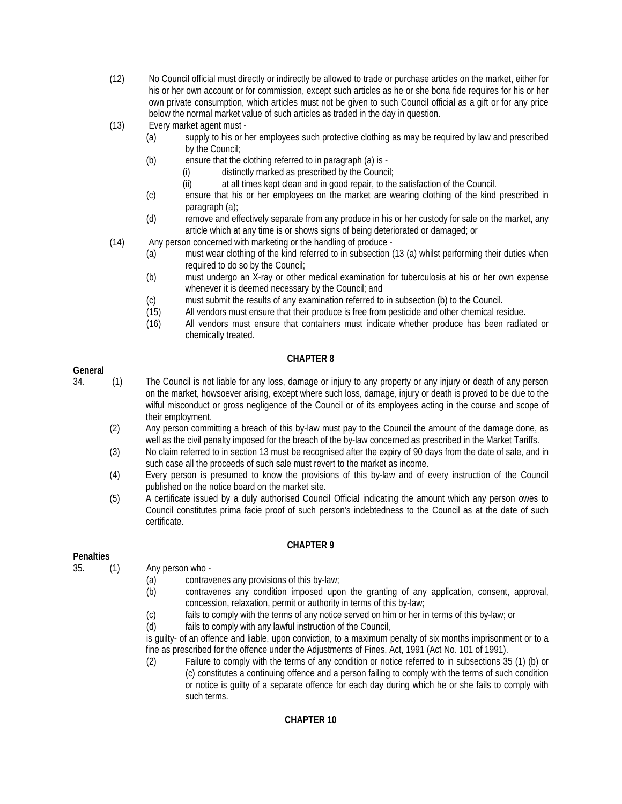- (12) No Council official must directly or indirectly be allowed to trade or purchase articles on the market, either for his or her own account or for commission, except such articles as he or she bona fide requires for his or her own private consumption, which articles must not be given to such Council official as a gift or for any price below the normal market value of such articles as traded in the day in question.
- (13) Every market agent must
	- (a) supply to his or her employees such protective clothing as may be required by law and prescribed by the Council;
	- (b) ensure that the clothing referred to in paragraph (a) is
		- (i) distinctly marked as prescribed by the Council;
		- (ii) at all times kept clean and in good repair, to the satisfaction of the Council.
	- (c) ensure that his or her employees on the market are wearing clothing of the kind prescribed in paragraph (a);
	- (d) remove and effectively separate from any produce in his or her custody for sale on the market, any article which at any time is or shows signs of being deteriorated or damaged; or
- (14) Any person concerned with marketing or the handling of produce
	- (a) must wear clothing of the kind referred to in subsection (13 (a) whilst performing their duties when required to do so by the Council;
	- (b) must undergo an X-ray or other medical examination for tuberculosis at his or her own expense whenever it is deemed necessary by the Council; and
	- (c) must submit the results of any examination referred to in subsection (b) to the Council.
	- (15) All vendors must ensure that their produce is free from pesticide and other chemical residue.
	- (16) All vendors must ensure that containers must indicate whether produce has been radiated or chemically treated.

### **CHAPTER 8**

#### **General**

- 34. (1) The Council is not liable for any loss, damage or injury to any property or any injury or death of any person on the market, howsoever arising, except where such loss, damage, injury or death is proved to be due to the wilful misconduct or gross negligence of the Council or of its employees acting in the course and scope of their employment.
	- (2) Any person committing a breach of this by-law must pay to the Council the amount of the damage done, as well as the civil penalty imposed for the breach of the by-law concerned as prescribed in the Market Tariffs.
	- (3) No claim referred to in section 13 must be recognised after the expiry of 90 days from the date of sale, and in such case all the proceeds of such sale must revert to the market as income.
	- (4) Every person is presumed to know the provisions of this by-law and of every instruction of the Council published on the notice board on the market site.
	- (5) A certificate issued by a duly authorised Council Official indicating the amount which any person owes to Council constitutes prima facie proof of such person's indebtedness to the Council as at the date of such certificate.

#### **CHAPTER 9**

#### **Penalties**

- 35. (1) Any person who
	- (a) contravenes any provisions of this by-law;
	- (b) contravenes any condition imposed upon the granting of any application, consent, approval, concession, relaxation, permit or authority in terms of this by-law;
	- (c) fails to comply with the terms of any notice served on him or her in terms of this by-law; or (d) fails to comply with any lawful instruction of the Council,
	- fails to comply with any lawful instruction of the Council,

is guilty- of an offence and liable, upon conviction, to a maximum penalty of six months imprisonment or to a fine as prescribed for the offence under the Adjustments of Fines, Act, 1991 (Act No. 101 of 1991).

(2) Failure to comply with the terms of any condition or notice referred to in subsections 35 (1) (b) or (c) constitutes a continuing offence and a person failing to comply with the terms of such condition or notice is guilty of a separate offence for each day during which he or she fails to comply with such terms.

### **CHAPTER 10**